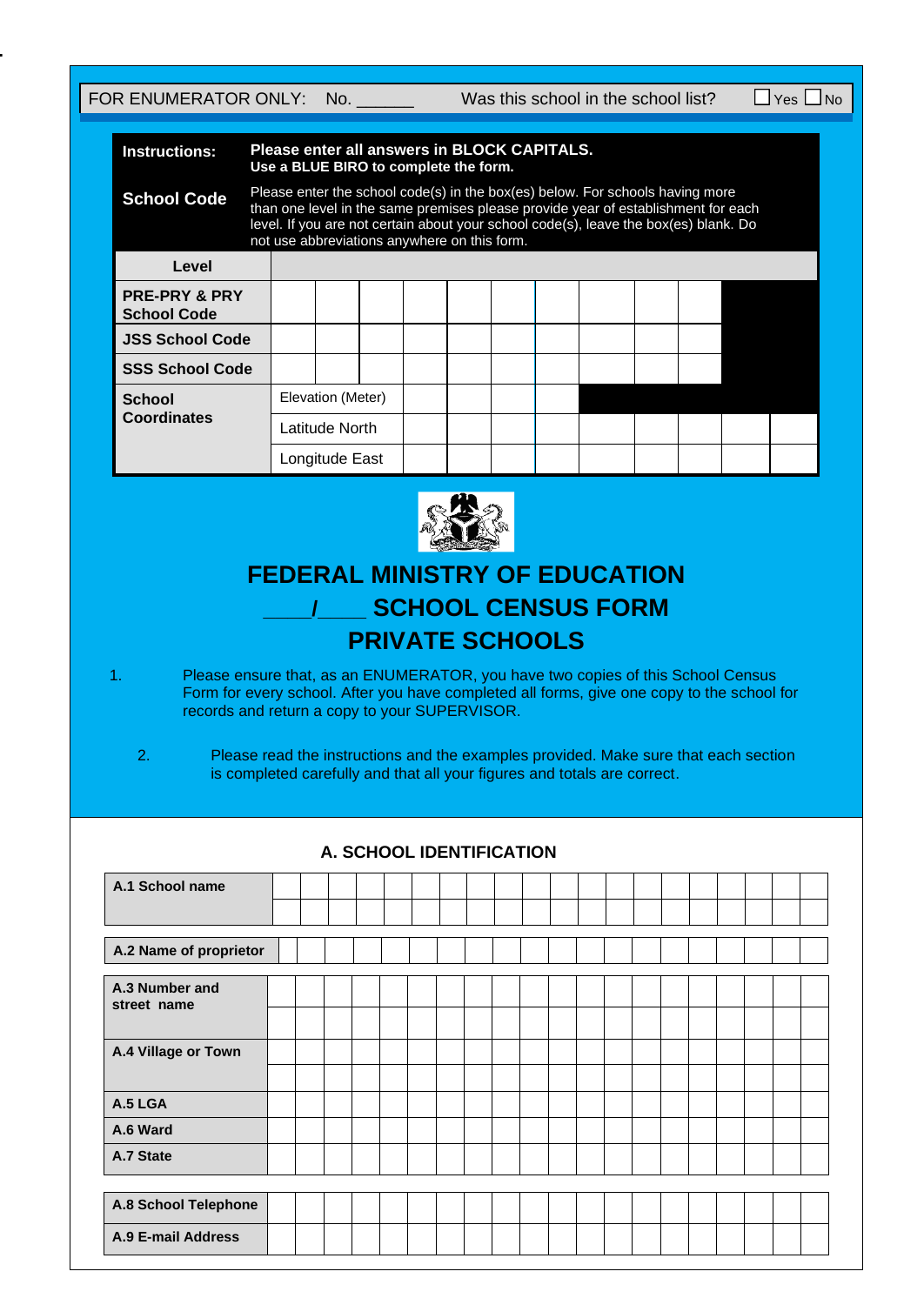**B.**

FOR ENUMERATOR ONLY: No. \_\_\_\_\_\_ Was this school in the school list?  $\Box$  Yes  $\Box$  No

| <b>Instructions:</b>                           |                |                                                                                                                                                                                                                                                                                                            |  |  | Please enter all answers in BLOCK CAPITALS.<br>Use a BLUE BIRO to complete the form. |  |  |  |  |  |  |  |  |
|------------------------------------------------|----------------|------------------------------------------------------------------------------------------------------------------------------------------------------------------------------------------------------------------------------------------------------------------------------------------------------------|--|--|--------------------------------------------------------------------------------------|--|--|--|--|--|--|--|--|
| <b>School Code</b>                             |                | Please enter the school code(s) in the box(es) below. For schools having more<br>than one level in the same premises please provide year of establishment for each<br>level. If you are not certain about your school code(s), leave the box(es) blank. Do<br>not use abbreviations anywhere on this form. |  |  |                                                                                      |  |  |  |  |  |  |  |  |
| Level                                          |                |                                                                                                                                                                                                                                                                                                            |  |  |                                                                                      |  |  |  |  |  |  |  |  |
| <b>PRE-PRY &amp; PRY</b><br><b>School Code</b> |                |                                                                                                                                                                                                                                                                                                            |  |  |                                                                                      |  |  |  |  |  |  |  |  |
| <b>JSS School Code</b>                         |                |                                                                                                                                                                                                                                                                                                            |  |  |                                                                                      |  |  |  |  |  |  |  |  |
| <b>SSS School Code</b>                         |                |                                                                                                                                                                                                                                                                                                            |  |  |                                                                                      |  |  |  |  |  |  |  |  |
| <b>School</b>                                  |                | Elevation (Meter)                                                                                                                                                                                                                                                                                          |  |  |                                                                                      |  |  |  |  |  |  |  |  |
| <b>Coordinates</b>                             | Latitude North |                                                                                                                                                                                                                                                                                                            |  |  |                                                                                      |  |  |  |  |  |  |  |  |
|                                                |                | Longitude East                                                                                                                                                                                                                                                                                             |  |  |                                                                                      |  |  |  |  |  |  |  |  |



# **FEDERAL MINISTRY OF EDUCATION \_\_\_\_/\_\_\_\_ SCHOOL CENSUS FORM PRIVATE SCHOOLS**

1. Please ensure that, as an ENUMERATOR, you have two copies of this School Census Form for every school. After you have completed all forms, give one copy to the school for records and return a copy to your SUPERVISOR.

2. Please read the instructions and the examples provided. Make sure that each section is completed carefully and that all your figures and totals are correct.

| <b>A. SUNUUL IDEN HEIUA HUN</b> |                        |  |  |  |  |  |  |  |  |  |  |  |  |  |  |  |  |  |
|---------------------------------|------------------------|--|--|--|--|--|--|--|--|--|--|--|--|--|--|--|--|--|
| A.1 School name                 |                        |  |  |  |  |  |  |  |  |  |  |  |  |  |  |  |  |  |
|                                 |                        |  |  |  |  |  |  |  |  |  |  |  |  |  |  |  |  |  |
|                                 | A.2 Name of proprietor |  |  |  |  |  |  |  |  |  |  |  |  |  |  |  |  |  |
|                                 |                        |  |  |  |  |  |  |  |  |  |  |  |  |  |  |  |  |  |
| A.3 Number and<br>street name   |                        |  |  |  |  |  |  |  |  |  |  |  |  |  |  |  |  |  |
|                                 |                        |  |  |  |  |  |  |  |  |  |  |  |  |  |  |  |  |  |
| A.4 Village or Town             |                        |  |  |  |  |  |  |  |  |  |  |  |  |  |  |  |  |  |
|                                 |                        |  |  |  |  |  |  |  |  |  |  |  |  |  |  |  |  |  |
| A.5 LGA                         |                        |  |  |  |  |  |  |  |  |  |  |  |  |  |  |  |  |  |
| A.6 Ward                        |                        |  |  |  |  |  |  |  |  |  |  |  |  |  |  |  |  |  |
| A.7 State                       |                        |  |  |  |  |  |  |  |  |  |  |  |  |  |  |  |  |  |
|                                 |                        |  |  |  |  |  |  |  |  |  |  |  |  |  |  |  |  |  |
| A.8 School Telephone            |                        |  |  |  |  |  |  |  |  |  |  |  |  |  |  |  |  |  |
| <b>A.9 E-mail Address</b>       |                        |  |  |  |  |  |  |  |  |  |  |  |  |  |  |  |  |  |

### **A. SCHOOL IDENTIFICATION**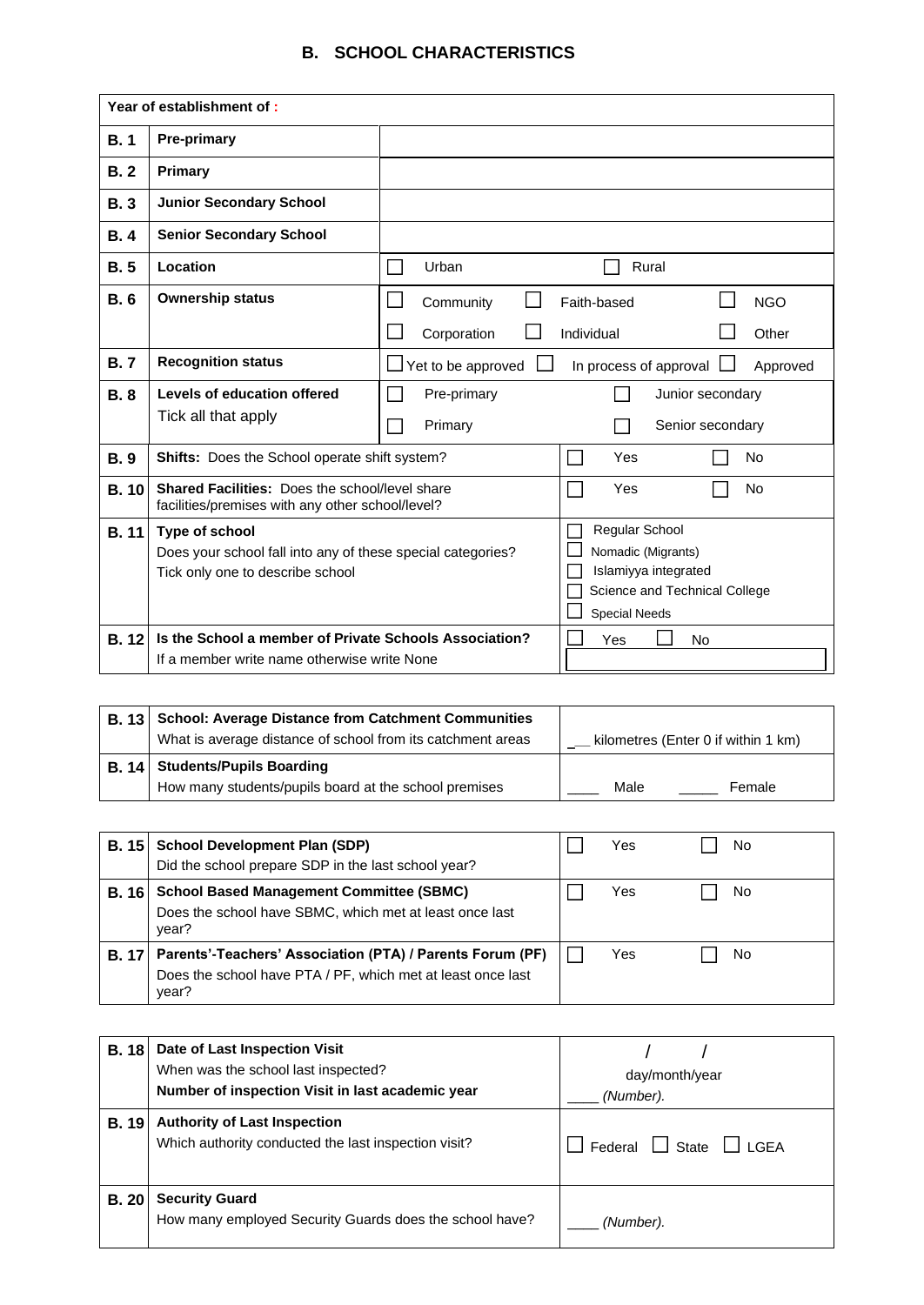## **B. SCHOOL CHARACTERISTICS**

|             | Year of establishment of:                                                                                         |                                                                                                                       |  |  |  |  |  |  |  |  |  |
|-------------|-------------------------------------------------------------------------------------------------------------------|-----------------------------------------------------------------------------------------------------------------------|--|--|--|--|--|--|--|--|--|
| B.1         | <b>Pre-primary</b>                                                                                                |                                                                                                                       |  |  |  |  |  |  |  |  |  |
| B.2         | Primary                                                                                                           |                                                                                                                       |  |  |  |  |  |  |  |  |  |
| <b>B.3</b>  | <b>Junior Secondary School</b>                                                                                    |                                                                                                                       |  |  |  |  |  |  |  |  |  |
| <b>B.4</b>  | <b>Senior Secondary School</b>                                                                                    |                                                                                                                       |  |  |  |  |  |  |  |  |  |
| B.5         | Location                                                                                                          | Urban<br>Rural                                                                                                        |  |  |  |  |  |  |  |  |  |
| <b>B.</b> 6 | <b>Ownership status</b>                                                                                           | Faith-based<br><b>NGO</b><br>Community                                                                                |  |  |  |  |  |  |  |  |  |
|             |                                                                                                                   | Individual<br>Corporation<br>Other                                                                                    |  |  |  |  |  |  |  |  |  |
| <b>B.7</b>  | <b>Recognition status</b>                                                                                         | $\Box$ Yet to be approved<br>In process of approval I<br>Approved                                                     |  |  |  |  |  |  |  |  |  |
| <b>B.8</b>  | Levels of education offered                                                                                       | Pre-primary<br>Junior secondary                                                                                       |  |  |  |  |  |  |  |  |  |
|             | Tick all that apply                                                                                               | Primary<br>Senior secondary                                                                                           |  |  |  |  |  |  |  |  |  |
| <b>B.9</b>  | Shifts: Does the School operate shift system?                                                                     | Yes<br><b>No</b>                                                                                                      |  |  |  |  |  |  |  |  |  |
| B.10        | Shared Facilities: Does the school/level share<br>facilities/premises with any other school/level?                | Yes<br><b>No</b>                                                                                                      |  |  |  |  |  |  |  |  |  |
| <b>B.11</b> | Type of school<br>Does your school fall into any of these special categories?<br>Tick only one to describe school | Regular School<br>Nomadic (Migrants)<br>Islamiyya integrated<br>Science and Technical College<br><b>Special Needs</b> |  |  |  |  |  |  |  |  |  |
| <b>B.12</b> | Is the School a member of Private Schools Association?<br>If a member write name otherwise write None             | Yes<br><b>No</b>                                                                                                      |  |  |  |  |  |  |  |  |  |

| <b>B. 13 School: Average Distance from Catchment Communities</b> |                                     |
|------------------------------------------------------------------|-------------------------------------|
| What is average distance of school from its catchment areas      | kilometres (Enter 0 if within 1 km) |
| B. 14 Students/Pupils Boarding                                   |                                     |
| How many students/pupils board at the school premises            | Male<br>Female                      |

| <b>B.</b> 15 | <b>School Development Plan (SDP)</b>                                                                                                      | Yes | No |
|--------------|-------------------------------------------------------------------------------------------------------------------------------------------|-----|----|
|              | Did the school prepare SDP in the last school year?                                                                                       |     |    |
| <b>B.</b> 16 | <b>School Based Management Committee (SBMC)</b><br>Does the school have SBMC, which met at least once last<br>year?                       | Yes | No |
|              | B. 17   Parents'-Teachers' Association (PTA) / Parents Forum (PF)<br>Does the school have PTA / PF, which met at least once last<br>year? | Yes | No |

| <b>B.</b> 18 | Date of Last Inspection Visit<br>When was the school last inspected?<br>Number of inspection Visit in last academic year | day/month/year<br>(Number).      |
|--------------|--------------------------------------------------------------------------------------------------------------------------|----------------------------------|
| <b>B.</b> 19 | <b>Authority of Last Inspection</b><br>Which authority conducted the last inspection visit?                              | I GFA<br>$\Box$ State<br>Federal |
| <b>B. 20</b> | <b>Security Guard</b><br>How many employed Security Guards does the school have?                                         | (Number).                        |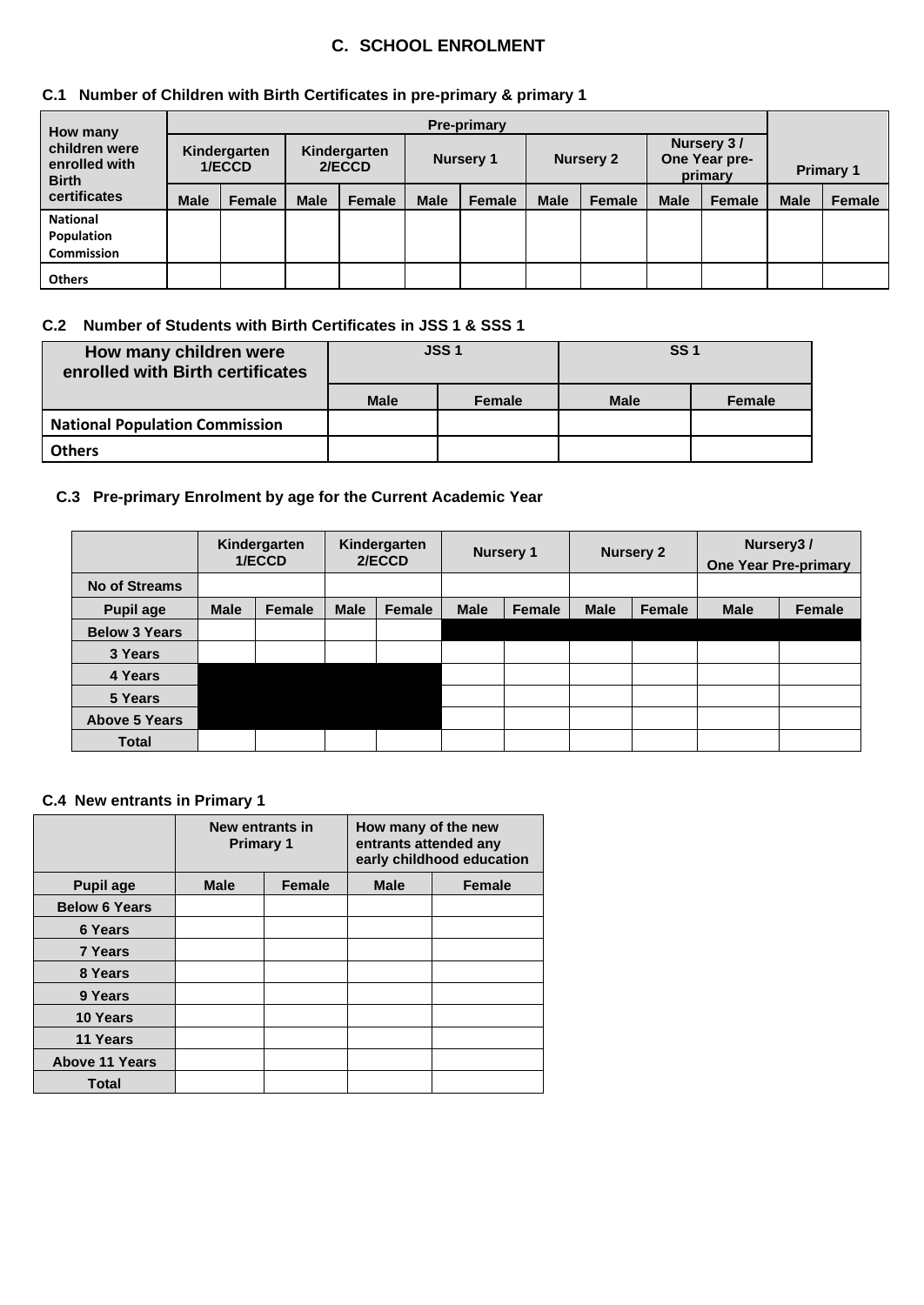## **C. SCHOOL ENROLMENT**

## **C.1 Number of Children with Birth Certificates in pre-primary & primary 1**

| <b>How many</b>                                                |             | <b>Pre-primary</b>     |                        |        |             |                  |             |                  |                                        |        |                  |               |  |  |  |
|----------------------------------------------------------------|-------------|------------------------|------------------------|--------|-------------|------------------|-------------|------------------|----------------------------------------|--------|------------------|---------------|--|--|--|
| children were<br>enrolled with<br><b>Birth</b><br>certificates |             | Kindergarten<br>1/ECCD | Kindergarten<br>2/ECCD |        |             | <b>Nursery 1</b> |             | <b>Nursery 2</b> | Nursery 3/<br>One Year pre-<br>primary |        | <b>Primary 1</b> |               |  |  |  |
|                                                                | <b>Male</b> | <b>Female</b>          | <b>Male</b>            | Female | <b>Male</b> | Female           | <b>Male</b> | <b>Female</b>    | <b>Male</b>                            | Female | <b>Male</b>      | <b>Female</b> |  |  |  |
| <b>National</b><br>Population<br><b>Commission</b>             |             |                        |                        |        |             |                  |             |                  |                                        |        |                  |               |  |  |  |
| <b>Others</b>                                                  |             |                        |                        |        |             |                  |             |                  |                                        |        |                  |               |  |  |  |

#### **C.2 Number of Students with Birth Certificates in JSS 1 & SSS 1**

| How many children were<br>enrolled with Birth certificates |             | <b>JSS1</b> | <b>SS1</b>  |               |  |  |  |
|------------------------------------------------------------|-------------|-------------|-------------|---------------|--|--|--|
|                                                            | <b>Male</b> | Female      | <b>Male</b> | <b>Female</b> |  |  |  |
| <b>National Population Commission</b>                      |             |             |             |               |  |  |  |
| <b>Others</b>                                              |             |             |             |               |  |  |  |

#### **C.3 Pre-primary Enrolment by age for the Current Academic Year**

|                      | Kindergarten<br>1/ECCD |               |             | Kindergarten<br>2/ECCD |             | <b>Nursery 1</b> |             | <b>Nursery 2</b> | Nursery <sub>3</sub> /<br><b>One Year Pre-primary</b> |               |  |
|----------------------|------------------------|---------------|-------------|------------------------|-------------|------------------|-------------|------------------|-------------------------------------------------------|---------------|--|
| <b>No of Streams</b> |                        |               |             |                        |             |                  |             |                  |                                                       |               |  |
| <b>Pupil age</b>     | <b>Male</b>            | <b>Female</b> | <b>Male</b> | <b>Female</b>          | <b>Male</b> | Female           | <b>Male</b> | Female           | <b>Male</b>                                           | <b>Female</b> |  |
| <b>Below 3 Years</b> |                        |               |             |                        |             |                  |             |                  |                                                       |               |  |
| 3 Years              |                        |               |             |                        |             |                  |             |                  |                                                       |               |  |
| 4 Years              |                        |               |             |                        |             |                  |             |                  |                                                       |               |  |
| 5 Years              |                        |               |             |                        |             |                  |             |                  |                                                       |               |  |
| <b>Above 5 Years</b> |                        |               |             |                        |             |                  |             |                  |                                                       |               |  |
| <b>Total</b>         |                        |               |             |                        |             |                  |             |                  |                                                       |               |  |

## **C.4 New entrants in Primary 1**

|                       | New entrants in<br><b>Primary 1</b> |               | How many of the new<br>entrants attended any<br>early childhood education |               |  |  |  |  |
|-----------------------|-------------------------------------|---------------|---------------------------------------------------------------------------|---------------|--|--|--|--|
| <b>Pupil age</b>      | <b>Male</b>                         | <b>Female</b> | <b>Male</b>                                                               | <b>Female</b> |  |  |  |  |
| <b>Below 6 Years</b>  |                                     |               |                                                                           |               |  |  |  |  |
| 6 Years               |                                     |               |                                                                           |               |  |  |  |  |
| <b>7 Years</b>        |                                     |               |                                                                           |               |  |  |  |  |
| 8 Years               |                                     |               |                                                                           |               |  |  |  |  |
| 9 Years               |                                     |               |                                                                           |               |  |  |  |  |
| 10 Years              |                                     |               |                                                                           |               |  |  |  |  |
| 11 Years              |                                     |               |                                                                           |               |  |  |  |  |
| <b>Above 11 Years</b> |                                     |               |                                                                           |               |  |  |  |  |
| <b>Total</b>          |                                     |               |                                                                           |               |  |  |  |  |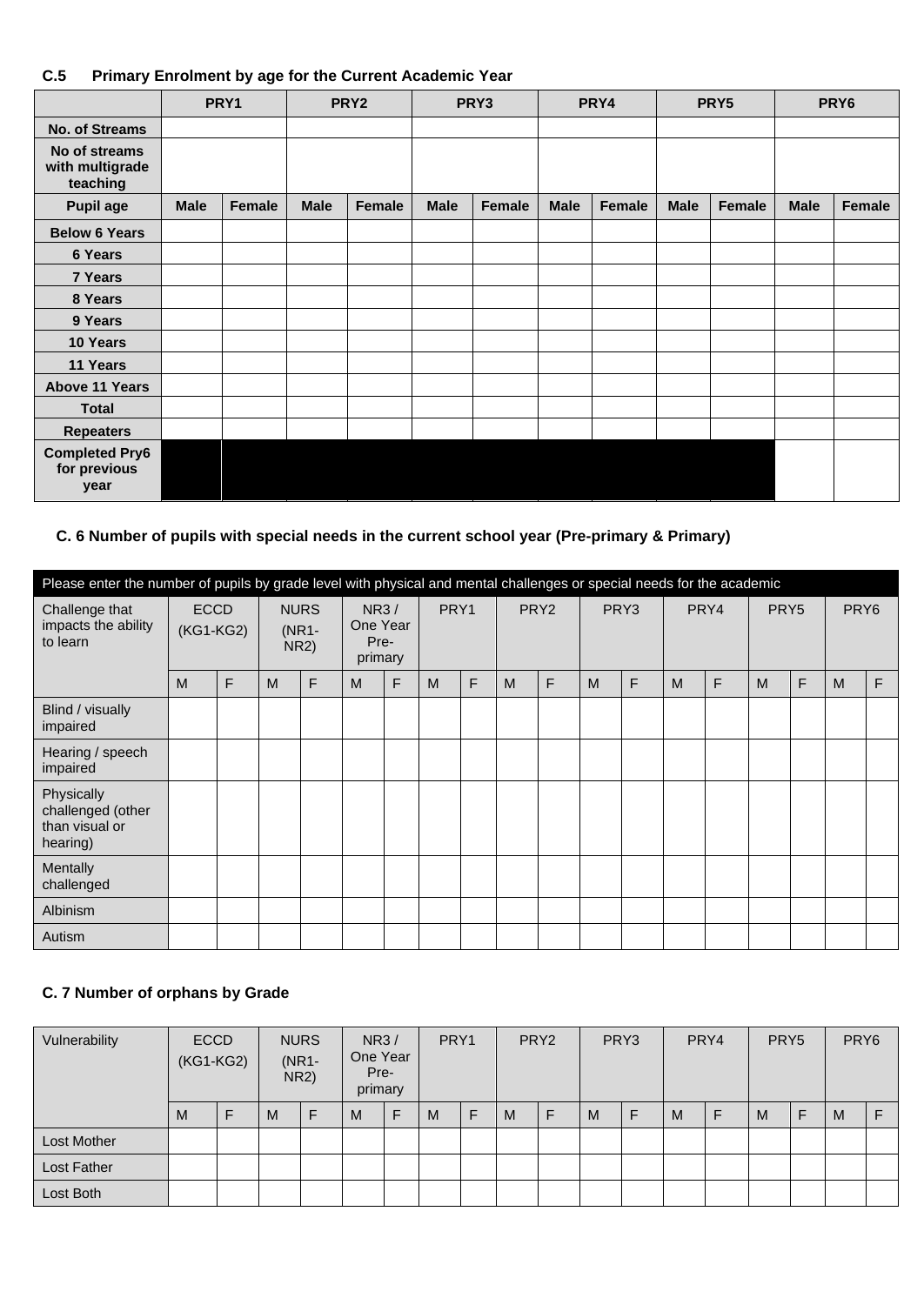## **C.5 Primary Enrolment by age for the Current Academic Year**

|                                               |                       | PRY1 |                       | PRY <sub>2</sub> |             | PRY3   |  | PRY4                  |  | PRY5                  |  | PRY <sub>6</sub> |
|-----------------------------------------------|-----------------------|------|-----------------------|------------------|-------------|--------|--|-----------------------|--|-----------------------|--|------------------|
| No. of Streams                                |                       |      |                       |                  |             |        |  |                       |  |                       |  |                  |
| No of streams<br>with multigrade<br>teaching  |                       |      |                       |                  |             |        |  |                       |  |                       |  |                  |
| <b>Pupil age</b>                              | <b>Male</b><br>Female |      | <b>Male</b><br>Female |                  | <b>Male</b> | Female |  | <b>Male</b><br>Female |  | <b>Male</b><br>Female |  | Female           |
| <b>Below 6 Years</b>                          |                       |      |                       |                  |             |        |  |                       |  |                       |  |                  |
| 6 Years                                       |                       |      |                       |                  |             |        |  |                       |  |                       |  |                  |
| 7 Years                                       |                       |      |                       |                  |             |        |  |                       |  |                       |  |                  |
| 8 Years                                       |                       |      |                       |                  |             |        |  |                       |  |                       |  |                  |
| 9 Years                                       |                       |      |                       |                  |             |        |  |                       |  |                       |  |                  |
| 10 Years                                      |                       |      |                       |                  |             |        |  |                       |  |                       |  |                  |
| 11 Years                                      |                       |      |                       |                  |             |        |  |                       |  |                       |  |                  |
| <b>Above 11 Years</b>                         |                       |      |                       |                  |             |        |  |                       |  |                       |  |                  |
| <b>Total</b>                                  |                       |      |                       |                  |             |        |  |                       |  |                       |  |                  |
| <b>Repeaters</b>                              |                       |      |                       |                  |             |        |  |                       |  |                       |  |                  |
| <b>Completed Pry6</b><br>for previous<br>year |                       |      |                       |                  |             |        |  |                       |  |                       |  |                  |

#### **C. 6 Number of pupils with special needs in the current school year (Pre-primary & Primary)**

| Please enter the number of pupils by grade level with physical and mental challenges or special needs for the academic |                                                             |   |                                            |   |   |      |   |                  |   |                  |   |                          |   |   |                  |   |   |    |
|------------------------------------------------------------------------------------------------------------------------|-------------------------------------------------------------|---|--------------------------------------------|---|---|------|---|------------------|---|------------------|---|--------------------------|---|---|------------------|---|---|----|
| Challenge that<br>impacts the ability<br>to learn                                                                      | <b>NURS</b><br><b>ECCD</b><br>(KG1-KG2)<br>$(NR1 -$<br>NR2) |   | <b>NR3/</b><br>One Year<br>Pre-<br>primary |   |   | PRY1 |   | PRY <sub>2</sub> |   | PRY <sub>3</sub> |   | PRY4<br>PRY <sub>5</sub> |   |   | PRY <sub>6</sub> |   |   |    |
|                                                                                                                        | M                                                           | F | M                                          | F | M | F    | M | F                | M | F                | M | F                        | M | F | M                | F | M | F. |
| Blind / visually<br>impaired                                                                                           |                                                             |   |                                            |   |   |      |   |                  |   |                  |   |                          |   |   |                  |   |   |    |
| Hearing / speech<br>impaired                                                                                           |                                                             |   |                                            |   |   |      |   |                  |   |                  |   |                          |   |   |                  |   |   |    |
| Physically<br>challenged (other<br>than visual or<br>hearing)                                                          |                                                             |   |                                            |   |   |      |   |                  |   |                  |   |                          |   |   |                  |   |   |    |
| Mentally<br>challenged                                                                                                 |                                                             |   |                                            |   |   |      |   |                  |   |                  |   |                          |   |   |                  |   |   |    |
| Albinism                                                                                                               |                                                             |   |                                            |   |   |      |   |                  |   |                  |   |                          |   |   |                  |   |   |    |
| Autism                                                                                                                 |                                                             |   |                                            |   |   |      |   |                  |   |                  |   |                          |   |   |                  |   |   |    |

## **C. 7 Number of orphans by Grade**

| Vulnerability | <b>ECCD</b><br>(KG1-KG2) |  | <b>NURS</b><br><b>NR3/</b><br>One Year<br>(NR1-<br>Pre-<br>NR2)<br>primary |  | PRY1 |  | PRY <sub>2</sub> |   | PRY3 |   | PRY4 |   | PRY <sub>5</sub> |  | PRY <sub>6</sub> |   |   |  |
|---------------|--------------------------|--|----------------------------------------------------------------------------|--|------|--|------------------|---|------|---|------|---|------------------|--|------------------|---|---|--|
|               | M                        |  | M                                                                          |  | M    |  | M                | F | M    | F | M    | F | M                |  | M                | F | M |  |
| Lost Mother   |                          |  |                                                                            |  |      |  |                  |   |      |   |      |   |                  |  |                  |   |   |  |
| Lost Father   |                          |  |                                                                            |  |      |  |                  |   |      |   |      |   |                  |  |                  |   |   |  |
| Lost Both     |                          |  |                                                                            |  |      |  |                  |   |      |   |      |   |                  |  |                  |   |   |  |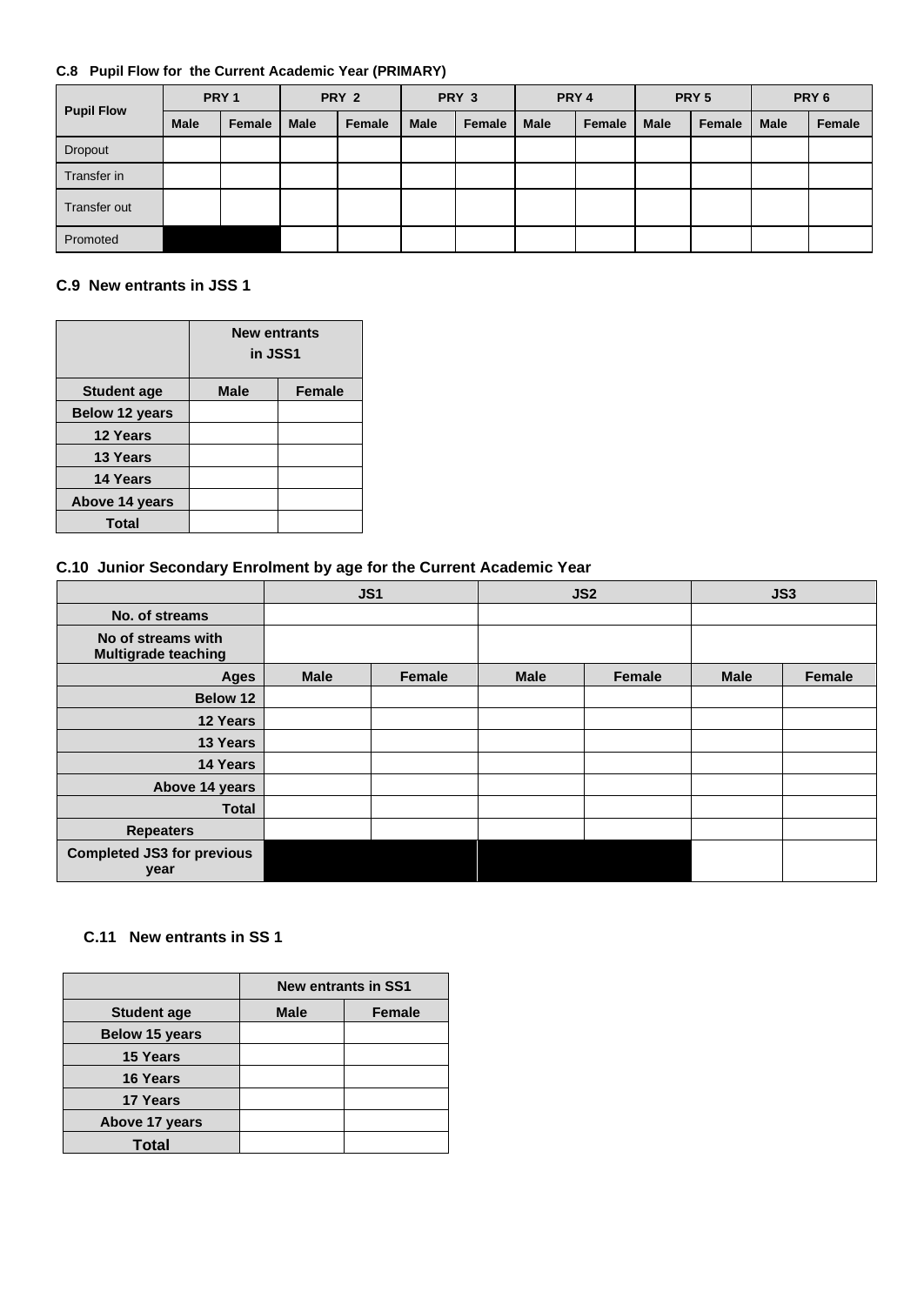#### **C.8 Pupil Flow for the Current Academic Year (PRIMARY)**

| <b>Pupil Flow</b> | PRY <sub>1</sub> |        | PRY 2       |        | PRY 3       |        | PRY 4       |        | PRY <sub>5</sub> |        | PRY <sub>6</sub> |        |
|-------------------|------------------|--------|-------------|--------|-------------|--------|-------------|--------|------------------|--------|------------------|--------|
|                   | <b>Male</b>      | Female | <b>Male</b> | Female | <b>Male</b> | Female | <b>Male</b> | Female | <b>Male</b>      | Female | <b>Male</b>      | Female |
| Dropout           |                  |        |             |        |             |        |             |        |                  |        |                  |        |
| Transfer in       |                  |        |             |        |             |        |             |        |                  |        |                  |        |
| Transfer out      |                  |        |             |        |             |        |             |        |                  |        |                  |        |
| Promoted          |                  |        |             |        |             |        |             |        |                  |        |                  |        |

## **C.9 New entrants in JSS 1**

|                       | <b>New entrants</b><br>in JSS1 |               |
|-----------------------|--------------------------------|---------------|
| <b>Student age</b>    | <b>Male</b>                    | <b>Female</b> |
| <b>Below 12 years</b> |                                |               |
| <b>12 Years</b>       |                                |               |
| 13 Years              |                                |               |
| 14 Years              |                                |               |
| Above 14 years        |                                |               |
| <b>Total</b>          |                                |               |

#### **C.10 Junior Secondary Enrolment by age for the Current Academic Year**

|                                                  |             | JS1           |             | JS <sub>2</sub> | JS3         |               |  |
|--------------------------------------------------|-------------|---------------|-------------|-----------------|-------------|---------------|--|
| No. of streams                                   |             |               |             |                 |             |               |  |
| No of streams with<br><b>Multigrade teaching</b> |             |               |             |                 |             |               |  |
| <b>Ages</b>                                      | <b>Male</b> | <b>Female</b> | <b>Male</b> | <b>Female</b>   | <b>Male</b> | <b>Female</b> |  |
| <b>Below 12</b>                                  |             |               |             |                 |             |               |  |
| 12 Years                                         |             |               |             |                 |             |               |  |
| 13 Years                                         |             |               |             |                 |             |               |  |
| 14 Years                                         |             |               |             |                 |             |               |  |
| Above 14 years                                   |             |               |             |                 |             |               |  |
| <b>Total</b>                                     |             |               |             |                 |             |               |  |
| <b>Repeaters</b>                                 |             |               |             |                 |             |               |  |
| <b>Completed JS3 for previous</b><br>year        |             |               |             |                 |             |               |  |

#### **C.11 New entrants in SS 1**

|                       | <b>New entrants in SS1</b> |               |  |  |  |  |  |
|-----------------------|----------------------------|---------------|--|--|--|--|--|
| <b>Student age</b>    | <b>Male</b>                | <b>Female</b> |  |  |  |  |  |
| <b>Below 15 years</b> |                            |               |  |  |  |  |  |
| <b>15 Years</b>       |                            |               |  |  |  |  |  |
| <b>16 Years</b>       |                            |               |  |  |  |  |  |
| <b>17 Years</b>       |                            |               |  |  |  |  |  |
| Above 17 years        |                            |               |  |  |  |  |  |
| Total                 |                            |               |  |  |  |  |  |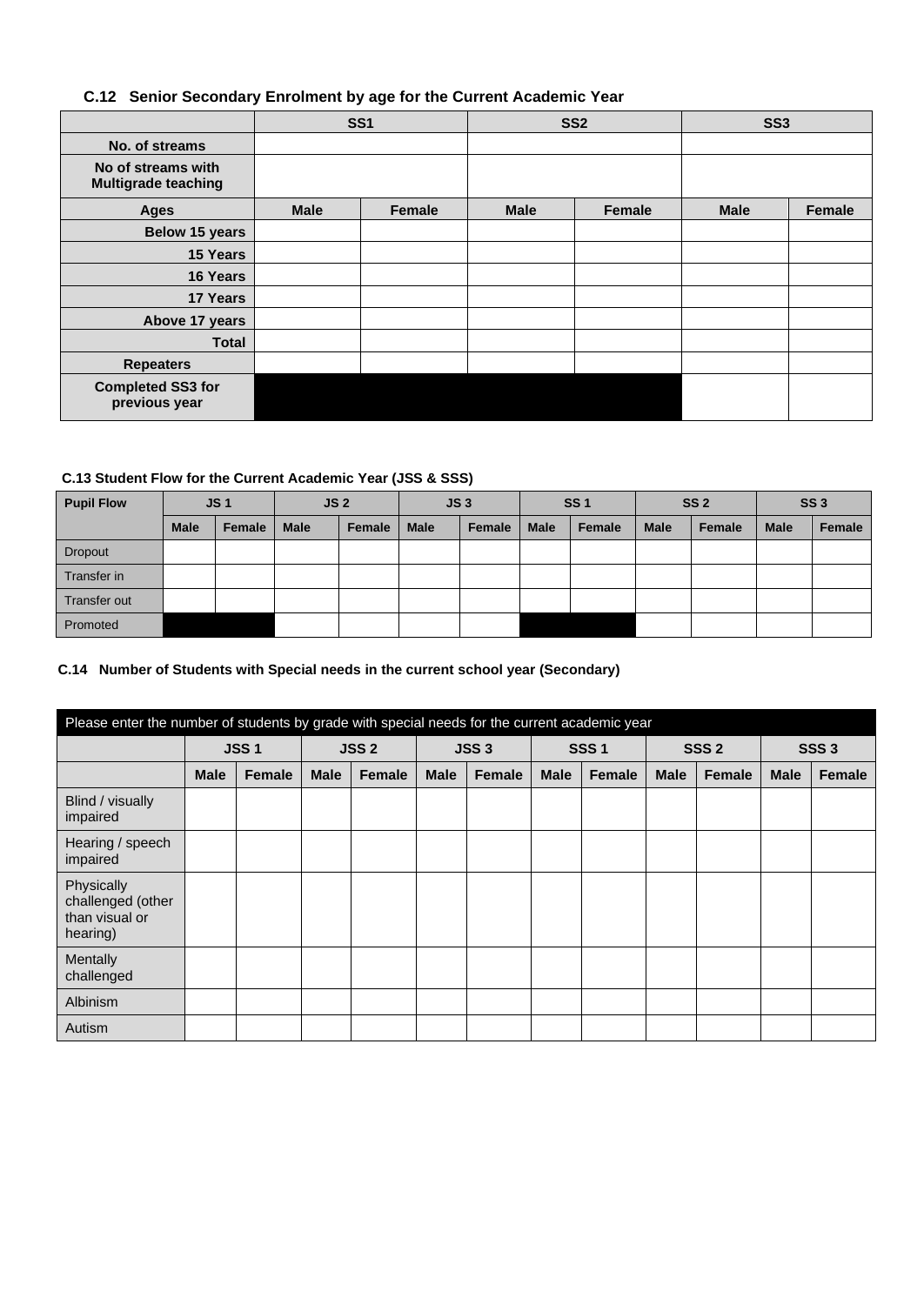#### **C.12 Senior Secondary Enrolment by age for the Current Academic Year**

|                                                  | <b>SS1</b>  |        |             | SS <sub>2</sub> | SS <sub>3</sub> |               |  |
|--------------------------------------------------|-------------|--------|-------------|-----------------|-----------------|---------------|--|
| No. of streams                                   |             |        |             |                 |                 |               |  |
| No of streams with<br><b>Multigrade teaching</b> |             |        |             |                 |                 |               |  |
| <b>Ages</b>                                      | <b>Male</b> | Female | <b>Male</b> | Female          | <b>Male</b>     | <b>Female</b> |  |
| Below 15 years                                   |             |        |             |                 |                 |               |  |
| 15 Years                                         |             |        |             |                 |                 |               |  |
| 16 Years                                         |             |        |             |                 |                 |               |  |
| 17 Years                                         |             |        |             |                 |                 |               |  |
| Above 17 years                                   |             |        |             |                 |                 |               |  |
| <b>Total</b>                                     |             |        |             |                 |                 |               |  |
| <b>Repeaters</b>                                 |             |        |             |                 |                 |               |  |
| <b>Completed SS3 for</b><br>previous year        |             |        |             |                 |                 |               |  |

#### **C.13 Student Flow for the Current Academic Year (JSS & SSS)**

| <b>Pupil Flow</b> | JS <sub>1</sub> |        | JS <sub>2</sub> |        | JS <sub>3</sub> |        | <b>SS1</b>  |        | <b>SS 2</b> |        | <b>SS3</b>  |        |
|-------------------|-----------------|--------|-----------------|--------|-----------------|--------|-------------|--------|-------------|--------|-------------|--------|
|                   | <b>Male</b>     | Female | <b>Male</b>     | Female | <b>Male</b>     | Female | <b>Male</b> | Female | <b>Male</b> | Female | <b>Male</b> | Female |
| <b>Dropout</b>    |                 |        |                 |        |                 |        |             |        |             |        |             |        |
| Transfer in       |                 |        |                 |        |                 |        |             |        |             |        |             |        |
| Transfer out      |                 |        |                 |        |                 |        |             |        |             |        |             |        |
| Promoted          |                 |        |                 |        |                 |        |             |        |             |        |             |        |

#### **C.14 Number of Students with Special needs in the current school year (Secondary)**

| Please enter the number of students by grade with special needs for the current academic year |             |               |             |               |             |                  |             |             |                  |               |                  |        |
|-----------------------------------------------------------------------------------------------|-------------|---------------|-------------|---------------|-------------|------------------|-------------|-------------|------------------|---------------|------------------|--------|
|                                                                                               |             | <b>JSS1</b>   |             | <b>JSS2</b>   |             | JSS <sub>3</sub> |             | <b>SSS1</b> | SSS <sub>2</sub> |               | SSS <sub>3</sub> |        |
|                                                                                               | <b>Male</b> | <b>Female</b> | <b>Male</b> | <b>Female</b> | <b>Male</b> | <b>Female</b>    | <b>Male</b> | Female      | <b>Male</b>      | <b>Female</b> | <b>Male</b>      | Female |
| Blind / visually<br>impaired                                                                  |             |               |             |               |             |                  |             |             |                  |               |                  |        |
| Hearing / speech<br>impaired                                                                  |             |               |             |               |             |                  |             |             |                  |               |                  |        |
| Physically<br>challenged (other<br>than visual or<br>hearing)                                 |             |               |             |               |             |                  |             |             |                  |               |                  |        |
| Mentally<br>challenged                                                                        |             |               |             |               |             |                  |             |             |                  |               |                  |        |
| <b>Albinism</b>                                                                               |             |               |             |               |             |                  |             |             |                  |               |                  |        |
| Autism                                                                                        |             |               |             |               |             |                  |             |             |                  |               |                  |        |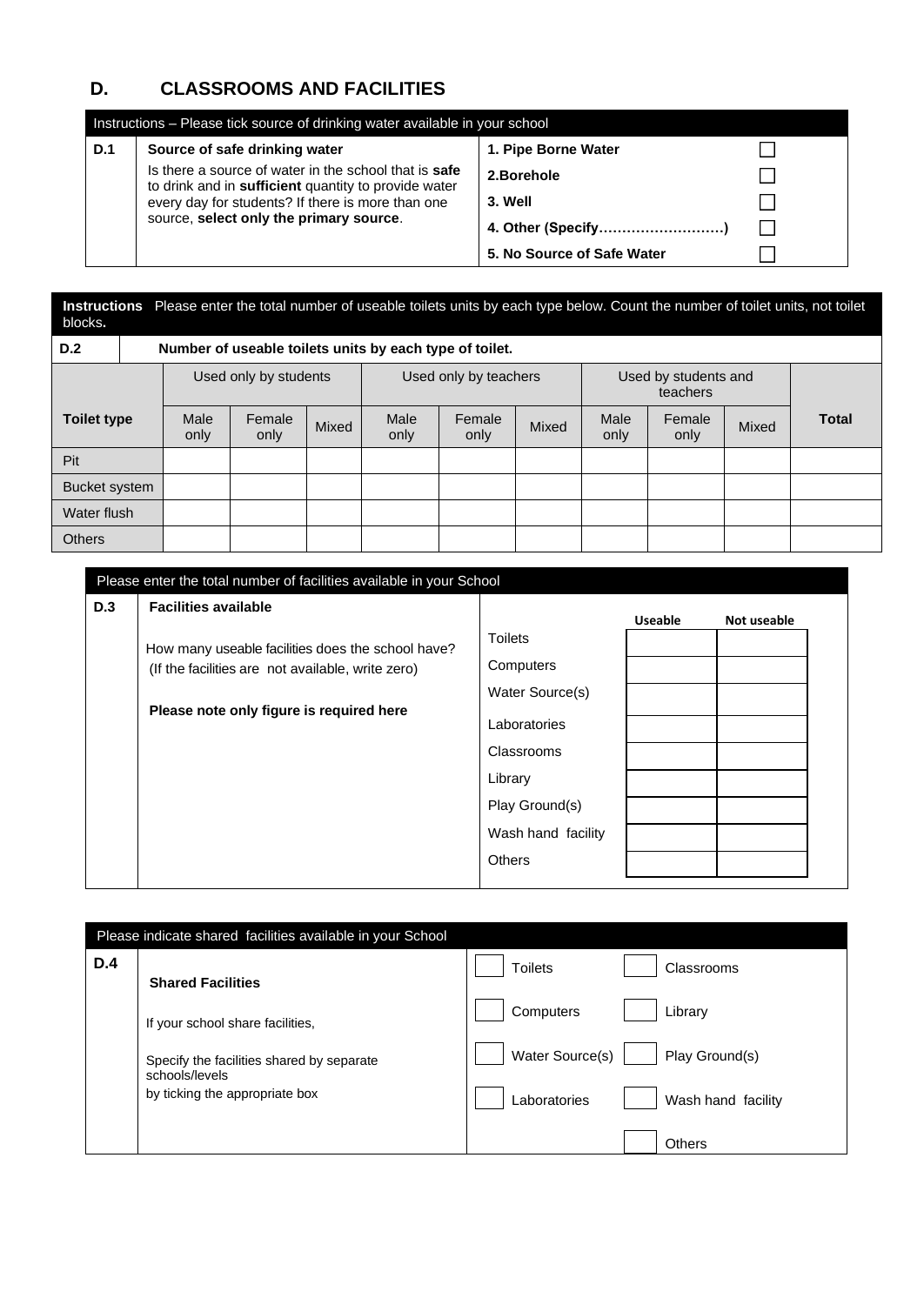## **D. CLASSROOMS AND FACILITIES**

| Instructions – Please tick source of drinking water available in your school |                                                                                                               |                            |  |  |  |  |  |  |  |  |
|------------------------------------------------------------------------------|---------------------------------------------------------------------------------------------------------------|----------------------------|--|--|--|--|--|--|--|--|
| D.1                                                                          | Source of safe drinking water                                                                                 | 1. Pipe Borne Water        |  |  |  |  |  |  |  |  |
|                                                                              | Is there a source of water in the school that is safe<br>to drink and in sufficient quantity to provide water | 2.Borehole                 |  |  |  |  |  |  |  |  |
|                                                                              | every day for students? If there is more than one                                                             | 3. Well                    |  |  |  |  |  |  |  |  |
|                                                                              | source, select only the primary source.                                                                       | 4. Other (Specify)         |  |  |  |  |  |  |  |  |
|                                                                              |                                                                                                               | 5. No Source of Safe Water |  |  |  |  |  |  |  |  |

| blocks.            | Instructions Please enter the total number of useable toilets units by each type below. Count the number of toilet units, not toilet |                       |                                                         |       |              |                       |       |                                  |                |       |              |  |
|--------------------|--------------------------------------------------------------------------------------------------------------------------------------|-----------------------|---------------------------------------------------------|-------|--------------|-----------------------|-------|----------------------------------|----------------|-------|--------------|--|
| D.2                |                                                                                                                                      |                       | Number of useable toilets units by each type of toilet. |       |              |                       |       |                                  |                |       |              |  |
|                    |                                                                                                                                      | Used only by students |                                                         |       |              | Used only by teachers |       | Used by students and<br>teachers |                |       |              |  |
| <b>Toilet type</b> |                                                                                                                                      | Male<br>only          | Female<br>only                                          | Mixed | Male<br>only | Female<br>only        | Mixed | Male<br>only                     | Female<br>only | Mixed | <b>Total</b> |  |
| Pit                |                                                                                                                                      |                       |                                                         |       |              |                       |       |                                  |                |       |              |  |
|                    | Bucket system                                                                                                                        |                       |                                                         |       |              |                       |       |                                  |                |       |              |  |
| Water flush        |                                                                                                                                      |                       |                                                         |       |              |                       |       |                                  |                |       |              |  |
| <b>Others</b>      |                                                                                                                                      |                       |                                                         |       |              |                       |       |                                  |                |       |              |  |

|            | Please enter the total number of facilities available in your School                                                                                                              |                                                                                |                |             |
|------------|-----------------------------------------------------------------------------------------------------------------------------------------------------------------------------------|--------------------------------------------------------------------------------|----------------|-------------|
| <b>D.3</b> | <b>Facilities available</b><br>How many useable facilities does the school have?<br>(If the facilities are not available, write zero)<br>Please note only figure is required here | <b>Toilets</b><br>Computers<br>Water Source(s)<br>Laboratories                 | <b>Useable</b> | Not useable |
|            |                                                                                                                                                                                   | Classrooms<br>Library<br>Play Ground(s)<br>Wash hand facility<br><b>Others</b> |                |             |

|            | Please indicate shared facilities available in your School  |                 |  |                    |  |  |  |  |  |  |  |
|------------|-------------------------------------------------------------|-----------------|--|--------------------|--|--|--|--|--|--|--|
| <b>D.4</b> | <b>Shared Facilities</b>                                    | <b>Toilets</b>  |  | Classrooms         |  |  |  |  |  |  |  |
|            | If your school share facilities,                            | Computers       |  | Library            |  |  |  |  |  |  |  |
|            | Specify the facilities shared by separate<br>schools/levels | Water Source(s) |  | Play Ground(s)     |  |  |  |  |  |  |  |
|            | by ticking the appropriate box                              | Laboratories    |  | Wash hand facility |  |  |  |  |  |  |  |
|            |                                                             |                 |  | <b>Others</b>      |  |  |  |  |  |  |  |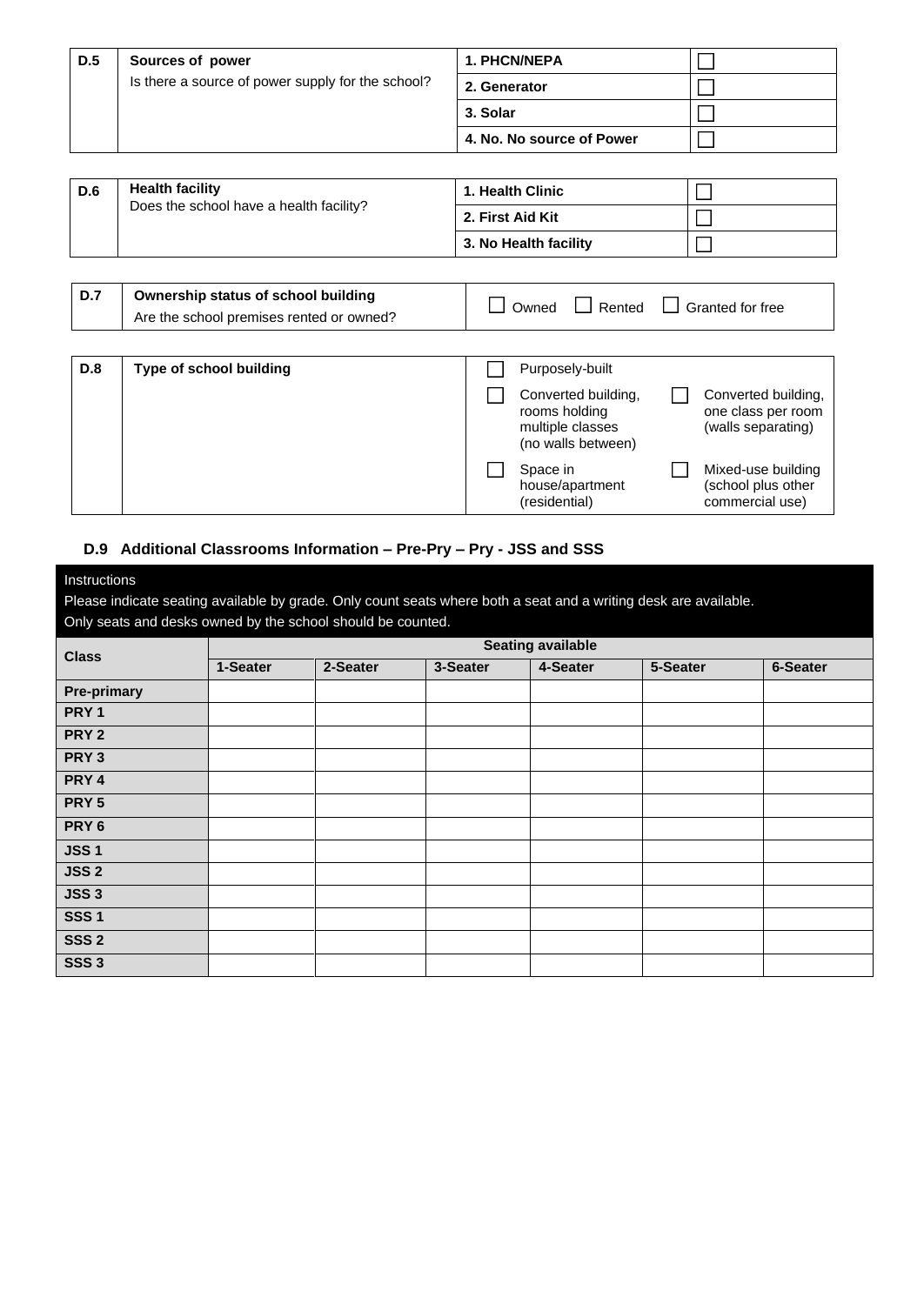| D.5 | Sources of power                                  | <b>1. PHCN/NEPA</b>       |  |
|-----|---------------------------------------------------|---------------------------|--|
|     | Is there a source of power supply for the school? | 2. Generator              |  |
|     |                                                   | 3. Solar                  |  |
|     |                                                   | 4. No. No source of Power |  |

| <b>D.6</b> | <b>Health facility</b>                  | 1. Health Clinic      |  |
|------------|-----------------------------------------|-----------------------|--|
|            | Does the school have a health facility? | 2. First Aid Kit      |  |
|            |                                         | 3. No Health facility |  |

| <b>D.7</b> | Ownership status of school building<br>Are the school premises rented or owned? | Owned | Rented<br>$\mathbf{I}$ | $\Box$ Granted for free |
|------------|---------------------------------------------------------------------------------|-------|------------------------|-------------------------|
|            |                                                                                 |       |                        |                         |
|            |                                                                                 |       |                        |                         |

| <b>D.8</b> | Type of school building | Purposely-built                                                                |                                                                 |
|------------|-------------------------|--------------------------------------------------------------------------------|-----------------------------------------------------------------|
|            |                         | Converted building,<br>rooms holding<br>multiple classes<br>(no walls between) | Converted building,<br>one class per room<br>(walls separating) |
|            |                         | Space in<br>house/apartment<br>(residential)                                   | Mixed-use building<br>(school plus other<br>commercial use)     |

### **D.9 Additional Classrooms Information – Pre-Pry – Pry - JSS and SSS**

| Instructions               |  |
|----------------------------|--|
| Disasa indiasta sesting ou |  |

Please indicate seating available by grade. Only count seats where both a seat and a writing desk are available. Only seats and desks owned by the school should be counted.

| <b>Class</b>       |          |          |          | <b>Seating available</b> |          |          |
|--------------------|----------|----------|----------|--------------------------|----------|----------|
|                    | 1-Seater | 2-Seater | 3-Seater | 4-Seater                 | 5-Seater | 6-Seater |
| <b>Pre-primary</b> |          |          |          |                          |          |          |
| PRY 1              |          |          |          |                          |          |          |
| PRY <sub>2</sub>   |          |          |          |                          |          |          |
| PRY <sub>3</sub>   |          |          |          |                          |          |          |
| PRY 4              |          |          |          |                          |          |          |
| PRY <sub>5</sub>   |          |          |          |                          |          |          |
| PRY 6              |          |          |          |                          |          |          |
| <b>JSS1</b>        |          |          |          |                          |          |          |
| JSS <sub>2</sub>   |          |          |          |                          |          |          |
| <b>JSS 3</b>       |          |          |          |                          |          |          |
| <b>SSS1</b>        |          |          |          |                          |          |          |
| SSS <sub>2</sub>   |          |          |          |                          |          |          |
| SSS <sub>3</sub>   |          |          |          |                          |          |          |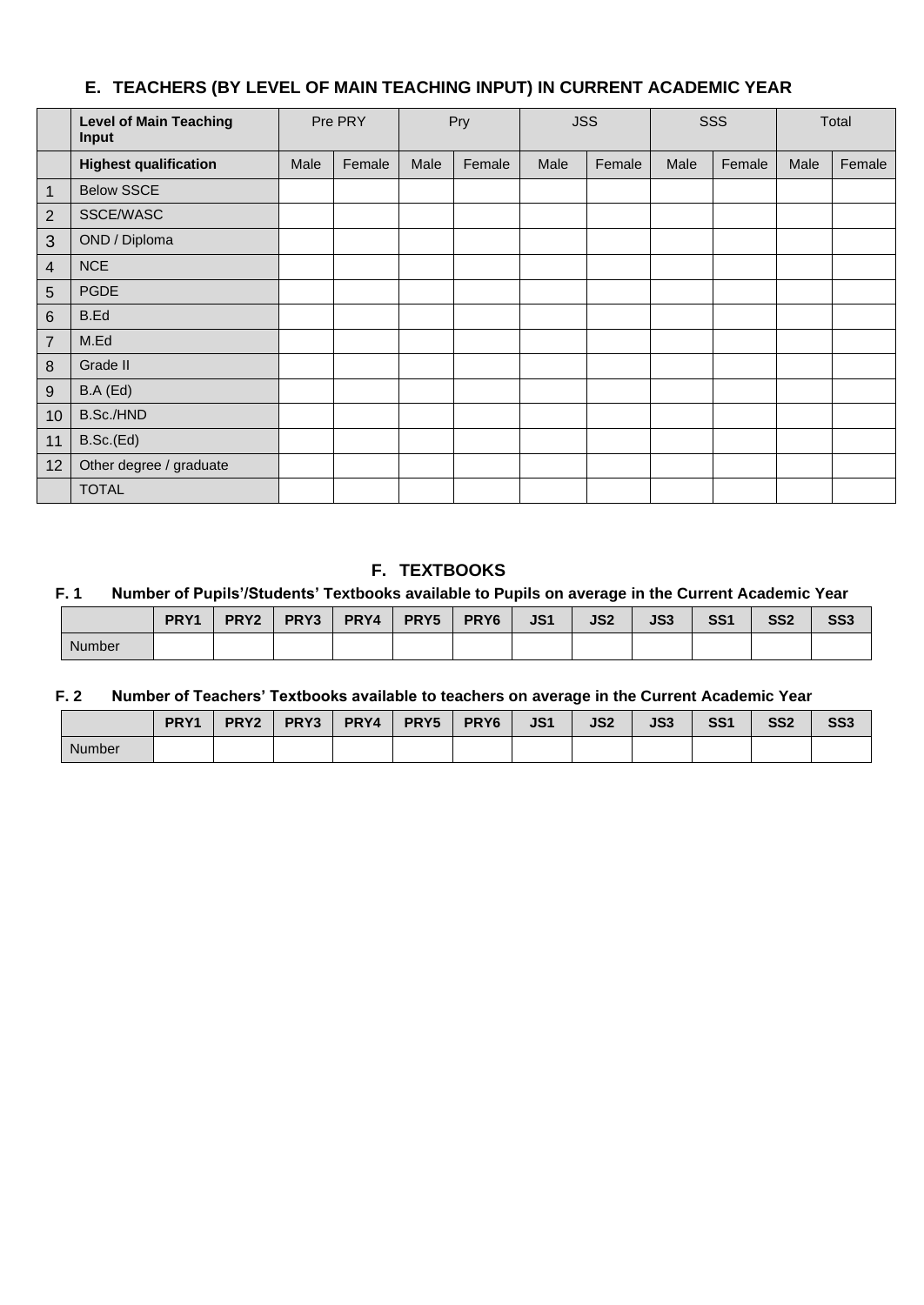## **E. TEACHERS (BY LEVEL OF MAIN TEACHING INPUT) IN CURRENT ACADEMIC YEAR**

|                  | <b>Level of Main Teaching</b><br>Input | Pre PRY |        | Pry  |        | <b>JSS</b> |        | SSS  |        | Total |        |
|------------------|----------------------------------------|---------|--------|------|--------|------------|--------|------|--------|-------|--------|
|                  | <b>Highest qualification</b>           | Male    | Female | Male | Female | Male       | Female | Male | Female | Male  | Female |
| $\mathbf{1}$     | <b>Below SSCE</b>                      |         |        |      |        |            |        |      |        |       |        |
| $\overline{2}$   | SSCE/WASC                              |         |        |      |        |            |        |      |        |       |        |
| 3                | OND / Diploma                          |         |        |      |        |            |        |      |        |       |        |
| $\overline{4}$   | <b>NCE</b>                             |         |        |      |        |            |        |      |        |       |        |
| $\overline{5}$   | <b>PGDE</b>                            |         |        |      |        |            |        |      |        |       |        |
| $\,6$            | B.Ed                                   |         |        |      |        |            |        |      |        |       |        |
| $\overline{7}$   | M.Ed                                   |         |        |      |        |            |        |      |        |       |        |
| $\,8\,$          | Grade II                               |         |        |      |        |            |        |      |        |       |        |
| $\boldsymbol{9}$ | B.A(Ed)                                |         |        |      |        |            |        |      |        |       |        |
| 10               | B.Sc./HND                              |         |        |      |        |            |        |      |        |       |        |
| 11               | B.Sc.(Ed)                              |         |        |      |        |            |        |      |        |       |        |
| 12               | Other degree / graduate                |         |        |      |        |            |        |      |        |       |        |
|                  | <b>TOTAL</b>                           |         |        |      |        |            |        |      |        |       |        |

## **F. TEXTBOOKS**

#### **F. 1 Number of Pupils'/Students' Textbooks available to Pupils on average in the Current Academic Year**

|               | PRY <sub>1</sub> | PRY <sub>2</sub> | PRY3 | PRY4 | PRY5 | PRY <sub>6</sub> | JS1 | JS <sub>2</sub> | JS3 | SS <sub>1</sub> | SS <sub>2</sub> | SS3 |
|---------------|------------------|------------------|------|------|------|------------------|-----|-----------------|-----|-----------------|-----------------|-----|
| <b>Number</b> |                  |                  |      |      |      |                  |     |                 |     |                 |                 |     |

## **F. 2 Number of Teachers' Textbooks available to teachers on average in the Current Academic Year**

|               | PRY <sub>1</sub> | PRY <sub>2</sub> | PRY3 | PRY4 | PRY5 | PRY <sub>6</sub> | JS1 | JS <sub>2</sub> | JS3 | SS <sub>1</sub> | SS <sub>2</sub> | SS3 |
|---------------|------------------|------------------|------|------|------|------------------|-----|-----------------|-----|-----------------|-----------------|-----|
| <b>Number</b> |                  |                  |      |      |      |                  |     |                 |     |                 |                 |     |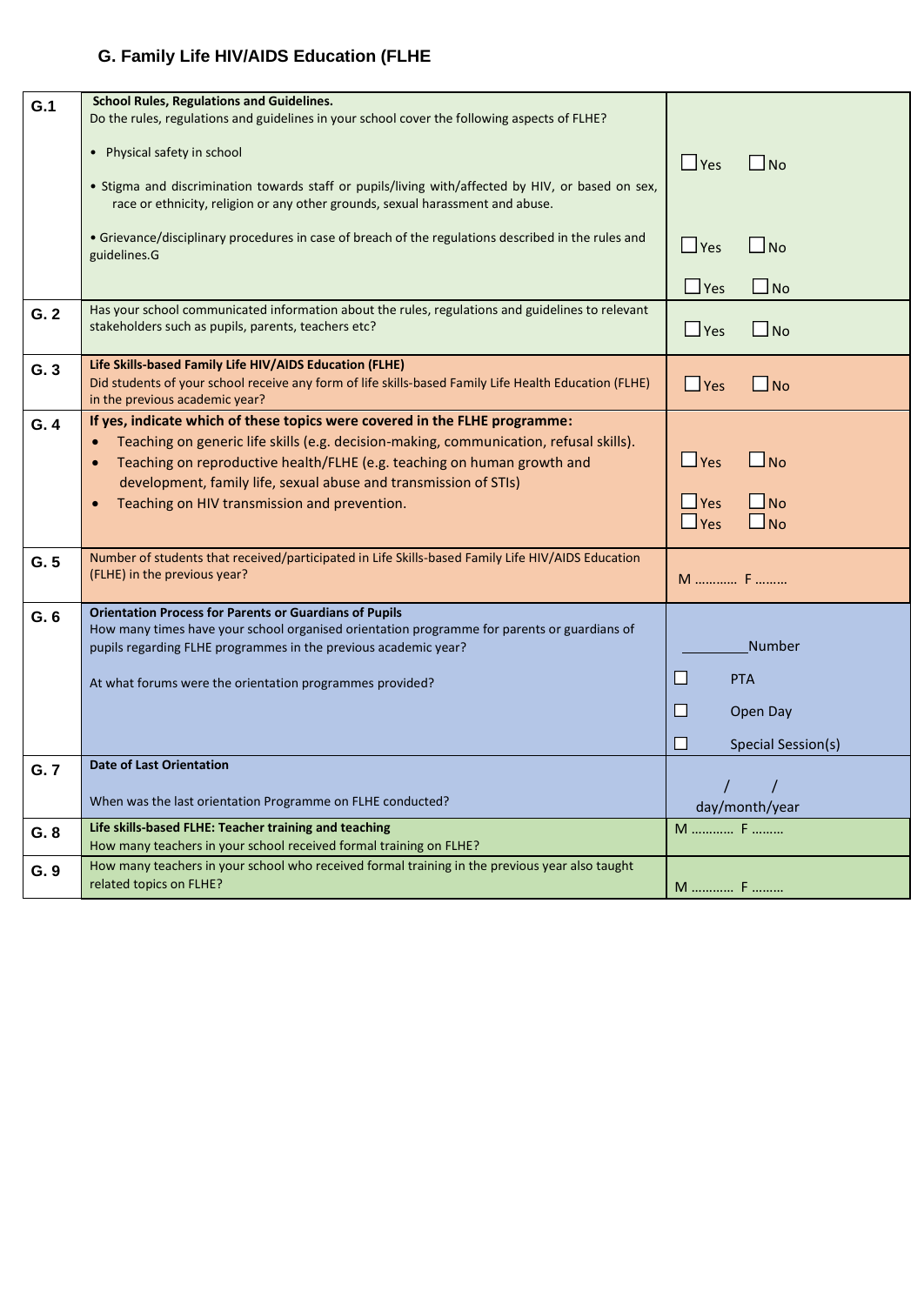## **G. Family Life HIV/AIDS Education (FLHE**

| G.1  | <b>School Rules, Regulations and Guidelines.</b>                                                                    |                            |
|------|---------------------------------------------------------------------------------------------------------------------|----------------------------|
|      | Do the rules, regulations and guidelines in your school cover the following aspects of FLHE?                        |                            |
|      | • Physical safety in school                                                                                         |                            |
|      |                                                                                                                     | $\Box$ Yes<br>$\Box$ No    |
|      | . Stigma and discrimination towards staff or pupils/living with/affected by HIV, or based on sex,                   |                            |
|      | race or ethnicity, religion or any other grounds, sexual harassment and abuse.                                      |                            |
|      |                                                                                                                     |                            |
|      | • Grievance/disciplinary procedures in case of breach of the regulations described in the rules and<br>guidelines.G | $\Box$ Yes<br>$\Box$ No    |
|      |                                                                                                                     |                            |
|      |                                                                                                                     | $\Box$ Yes<br>$\Box$ No    |
| G.2  | Has your school communicated information about the rules, regulations and guidelines to relevant                    |                            |
|      | stakeholders such as pupils, parents, teachers etc?                                                                 | $\Box$ Yes<br>$\Box$ No    |
|      |                                                                                                                     |                            |
| G.3  | Life Skills-based Family Life HIV/AIDS Education (FLHE)                                                             |                            |
|      | Did students of your school receive any form of life skills-based Family Life Health Education (FLHE)               | $\Box$ Yes<br>$\Box$ No    |
|      | in the previous academic year?                                                                                      |                            |
| G.4  | If yes, indicate which of these topics were covered in the FLHE programme:                                          |                            |
|      | Teaching on generic life skills (e.g. decision-making, communication, refusal skills).                              |                            |
|      | Teaching on reproductive health/FLHE (e.g. teaching on human growth and                                             | $\Box$ Yes<br>$\Box$ No    |
|      | development, family life, sexual abuse and transmission of STIs)                                                    |                            |
|      | Teaching on HIV transmission and prevention.<br>$\bullet$                                                           | $\Box$ Yes<br>$\square$ No |
|      |                                                                                                                     | $\Box$ No<br>$\Box$ Yes    |
|      |                                                                                                                     |                            |
| G.5  | Number of students that received/participated in Life Skills-based Family Life HIV/AIDS Education                   |                            |
|      | (FLHE) in the previous year?                                                                                        | M  F                       |
|      |                                                                                                                     |                            |
| G.6  | <b>Orientation Process for Parents or Guardians of Pupils</b>                                                       |                            |
|      | How many times have your school organised orientation programme for parents or guardians of                         | Number                     |
|      | pupils regarding FLHE programmes in the previous academic year?                                                     |                            |
|      | At what forums were the orientation programmes provided?                                                            | □<br><b>PTA</b>            |
|      |                                                                                                                     | П                          |
|      |                                                                                                                     | Open Day                   |
|      |                                                                                                                     | H<br>Special Session(s)    |
| G.7  | <b>Date of Last Orientation</b>                                                                                     |                            |
|      |                                                                                                                     |                            |
|      | When was the last orientation Programme on FLHE conducted?                                                          | day/month/year             |
| G. 8 | Life skills-based FLHE: Teacher training and teaching                                                               | M  F                       |
|      | How many teachers in your school received formal training on FLHE?                                                  |                            |
| G.9  | How many teachers in your school who received formal training in the previous year also taught                      |                            |
|      | related topics on FLHE?                                                                                             | M  F                       |
|      |                                                                                                                     |                            |